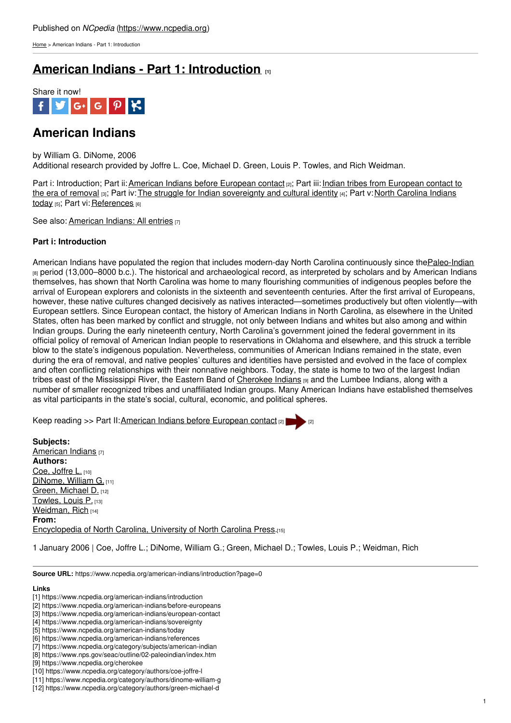[Home](https://www.ncpedia.org/) > American Indians - Part 1: Introduction

## **American Indians - Part 1: [Introduction](https://www.ncpedia.org/american-indians/introduction) [1]**



## **American Indians**

by William G. DiNome, 2006 Additional research provided by Joffre L. Coe, Michael D. Green, Louis P. Towles, and Rich Weidman.

Part i: [Introduction;](https://www.ncpedia.org/american-indians/european-contact) Part ii: American Indians before [European](https://www.ncpedia.org/american-indians/before-europeans) contact [2]; Part iii: Indian tribes from European contact to the era of removal [3]; Part iv: The struggle for Indian [sovereignty](https://www.ncpedia.org/american-indians/today) and cultural identity [4]; Part v: North Carolina Indians today [5]; Part vi: [References](https://www.ncpedia.org/american-indians/references) [6]

See also: [American](https://www.ncpedia.org/category/subjects/american-indian) Indians: All ent[ries](http://www.social9.com) [7]

## **Part i: Introduction**

American Indians have populated the region that includes modern-day North Carolina continuously since the Paleo-Indian [8] period (13,000–8000 b.c.). The historical and archaeological record, as interpreted by scholars and by American Indians themselves, has shown that North Carolina was home to many flourishing communities of indigenous peoples before the arrival of European explorers and colonists in the sixteenth and seventeenth centuries. After the first arrival of Europeans, however, these native cultures changed decisively as natives interacted—sometimes productively but often violently—with European settlers. Since European contact, the history of American Indians in North Carolina, as elsewhere in the United States, often has been marked by conflict and struggle, not only between Indians and whites but also among and within Indian groups. During the early nineteenth century, North Carolina's government joined the federal government in its official policy of removal of American Indian people to reservations in Oklahoma and elsewhere, and this struck a terrible blow to the state's indigenous population. Nevertheless, communities of American Indians remained in the state, even during the era of removal, and native peoples' cultures and identities have persisted and evolved in the face of complex and often conflicting relationships with their nonnative neighbors. Today, the state is home to two of the largest Indian tribes east of the Mississippi River, the Eastern Band of [Cherokee](https://www.ncpedia.org/cherokee) Indians [9] and the Lumbee Indians, along with a number of smaller recognized tribes and unaffiliated Indian groups. Many American Indians have established themselves as vital participants in the state's social, cultural, economic, and political spheres.

Keep reading >> Part II: American Indians before [European](https://www.ncpedia.org/american-indians/before-europeans) contact [2]

**Subjects:** [American](https://www.ncpedia.org/category/subjects/american-indian) Indians [7] **Authors:** Coe, [Joffre](https://www.ncpedia.org/category/authors/coe-joffre-l) L. [10] [DiNome,](https://www.ncpedia.org/category/authors/dinome-william-g) William G. [11] Green, [Michael](https://www.ncpedia.org/category/authors/green-michael-d) D. [12] [Towles,](https://www.ncpedia.org/category/authors/towles-louis-p) Louis P. [13] [Weidman,](https://www.ncpedia.org/category/authors/weidman-rich) Rich [14] **From:** [Encyclopedia](https://www.ncpedia.org/category/entry-source/encyclopedia-) of North Carolina, University of North Carolina Press.[15]

1 January 2006 | Coe, Joffre L.; DiNome, William G.; Green, Michael D.; Towles, Louis P.; Weidman, Rich

**Source URL:** https://www.ncpedia.org/american-indians/introduction?page=0

## **Links**

<sup>[1]</sup> https://www.ncpedia.org/american-indians/introduction

<sup>[2]</sup> https://www.ncpedia.org/american-indians/before-europeans

<sup>[3]</sup> https://www.ncpedia.org/american-indians/european-contact

<sup>[4]</sup> https://www.ncpedia.org/american-indians/sovereignty

<sup>[5]</sup> https://www.ncpedia.org/american-indians/today

<sup>[6]</sup> https://www.ncpedia.org/american-indians/references

<sup>[7]</sup> https://www.ncpedia.org/category/subjects/american-indian

<sup>[8]</sup> https://www.nps.gov/seac/outline/02-paleoindian/index.htm

<sup>[9]</sup> https://www.ncpedia.org/cherokee

<sup>[10]</sup> https://www.ncpedia.org/category/authors/coe-joffre-l

<sup>[11]</sup> https://www.ncpedia.org/category/authors/dinome-william-g

<sup>[12]</sup> https://www.ncpedia.org/category/authors/green-michael-d